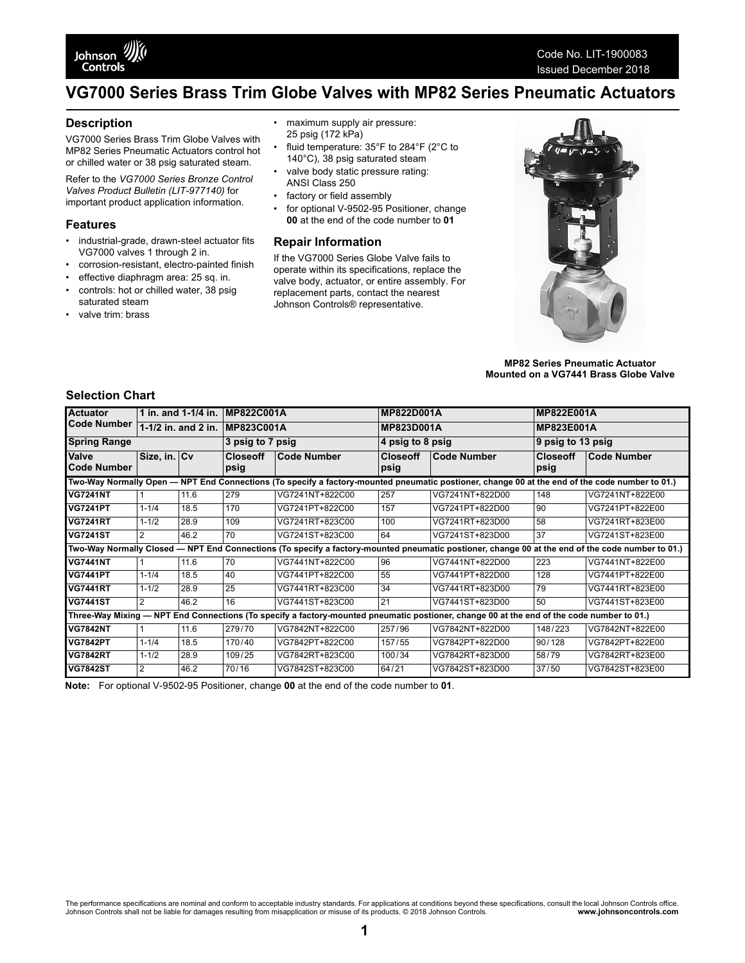

# **VG7000 Series Brass Trim Globe Valves with MP82 Series Pneumatic Actuators**

#### **Description**

VG7000 Series Brass Trim Globe Valves with MP82 Series Pneumatic Actuators control hot or chilled water or 38 psig saturated steam.

Refer to the *VG7000 Series Bronze Control Valves Product Bulletin (LIT-977140)* for important product application information.

#### **Features**

- industrial-grade, drawn-steel actuator fits VG7000 valves 1 through 2 in.
- corrosion-resistant, electro-painted finish
- effective diaphragm area: 25 sq. in. • controls: hot or chilled water, 38 psig
- saturated steam valve trim: brass
- 
- maximum supply air pressure: 25 psig (172 kPa)
- fluid temperature: 35°F to 284°F (2°C to 140°C), 38 psig saturated steam
- valve body static pressure rating: ANSI Class 250
- factory or field assembly
- for optional V-9502-95 Positioner, change **00** at the end of the code number to **01**

#### **Repair Information**

If the VG7000 Series Globe Valve fails to operate within its specifications, replace the valve body, actuator, or entire assembly. For replacement parts, contact the nearest Johnson Controls® representative.



**MP82 Series Pneumatic Actuator Mounted on a VG7441 Brass Globe Valve**

### **Selection Chart**

| <b>Actuator</b>                                                                                                                                  | 1 in. and 1-1/4 in. |      | <b>IMP822C001A</b>      |                    | <b>MP822D001A</b>       |                 | <b>MP822E001A</b>       |                    |  |
|--------------------------------------------------------------------------------------------------------------------------------------------------|---------------------|------|-------------------------|--------------------|-------------------------|-----------------|-------------------------|--------------------|--|
| <b>Code Number</b>                                                                                                                               | 1-1/2 in. and 2 in. |      | <b>IMP823C001A</b>      |                    | <b>MP823D001A</b>       |                 | <b>MP823E001A</b>       |                    |  |
| <b>Spring Range</b>                                                                                                                              |                     |      | 3 psig to 7 psig        |                    | 4 psig to 8 psig        |                 | 9 psig to 13 psig       |                    |  |
| Valve<br><b>Code Number</b>                                                                                                                      | Size, in. Cv        |      | <b>Closeoff</b><br>psig | <b>Code Number</b> | <b>Closeoff</b><br>psig | Code Number     | <b>Closeoff</b><br>psig | <b>Code Number</b> |  |
| Two-Way Normally Open — NPT End Connections (To specify a factory-mounted pneumatic postioner, change 00 at the end of the code number to 01.)   |                     |      |                         |                    |                         |                 |                         |                    |  |
| <b>VG7241NT</b>                                                                                                                                  |                     | 11.6 | 279                     | VG7241NT+822C00    | 257                     | VG7241NT+822D00 | 148                     | VG7241NT+822E00    |  |
| <b>VG7241PT</b>                                                                                                                                  | $1 - 1/4$           | 18.5 | 170                     | VG7241PT+822C00    | 157                     | VG7241PT+822D00 | 90                      | VG7241PT+822E00    |  |
| <b>VG7241RT</b>                                                                                                                                  | $1 - 1/2$           | 28.9 | 109                     | VG7241RT+823C00    | 100                     | VG7241RT+823D00 | 58                      | VG7241RT+823E00    |  |
| <b>VG7241ST</b>                                                                                                                                  | 2                   | 46.2 | 70                      | VG7241ST+823C00    | 64                      | VG7241ST+823D00 | 37                      | VG7241ST+823E00    |  |
| Two-Way Normally Closed - NPT End Connections (To specify a factory-mounted pneumatic postioner, change 00 at the end of the code number to 01.) |                     |      |                         |                    |                         |                 |                         |                    |  |
| <b>VG7441NT</b>                                                                                                                                  |                     | 11.6 | 70                      | VG7441NT+822C00    | 96                      | VG7441NT+822D00 | 223                     | VG7441NT+822E00    |  |
| <b>VG7441PT</b>                                                                                                                                  | $1 - 1/4$           | 18.5 | 40                      | VG7441PT+822C00    | 55                      | VG7441PT+822D00 | 128                     | VG7441PT+822E00    |  |
| <b>VG7441RT</b>                                                                                                                                  | $1 - 1/2$           | 28.9 | 25                      | VG7441RT+823C00    | 34                      | VG7441RT+823D00 | 79                      | VG7441RT+823E00    |  |
| <b>VG7441ST</b>                                                                                                                                  | 2                   | 46.2 | 16                      | VG7441ST+823C00    | 21                      | VG7441ST+823D00 | 50                      | VG7441ST+823E00    |  |
| Three-Way Mixing — NPT End Connections (To specify a factory-mounted pneumatic postioner, change 00 at the end of the code number to 01.)        |                     |      |                         |                    |                         |                 |                         |                    |  |
| <b>VG7842NT</b>                                                                                                                                  |                     | 11.6 | 279/70                  | VG7842NT+822C00    | 257/96                  | VG7842NT+822D00 | 148/223                 | VG7842NT+822E00    |  |
| <b>VG7842PT</b>                                                                                                                                  | $1 - 1/4$           | 18.5 | 170/40                  | VG7842PT+822C00    | 157/55                  | VG7842PT+822D00 | 90/128                  | VG7842PT+822E00    |  |
| <b>VG7842RT</b>                                                                                                                                  | $1 - 1/2$           | 28.9 | 109/25                  | VG7842RT+823C00    | 100/34                  | VG7842RT+823D00 | 58/79                   | VG7842RT+823E00    |  |
| <b>VG7842ST</b>                                                                                                                                  | 2                   | 46.2 | 70/16                   | VG7842ST+823C00    | 64/21                   | VG7842ST+823D00 | 37/50                   | VG7842ST+823E00    |  |

**Note:** For optional V-9502-95 Positioner, change **00** at the end of the code number to **01**.